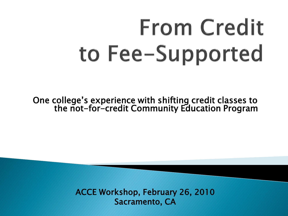# **From Credit** to Fee-Supported

One college's experience with shifting credit classes to the not-for-credit Community Education Program

> ACCE Workshop, February 26, 2010 Sacramento, CA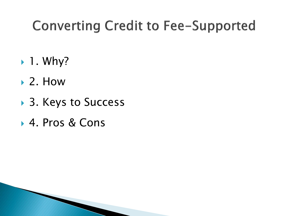#### **Converting Credit to Fee-Supported**

- $\blacktriangleright$  1. Why?
- $\blacktriangleright$  2. How
- ▶ 3. Keys to Success
- ▶ 4. Pros & Cons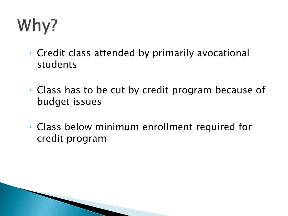## Why?

- Credit class attended by primarily avocational students
- Class has to be cut by credit program because of budget issues
- Class below minimum enrollment required for credit program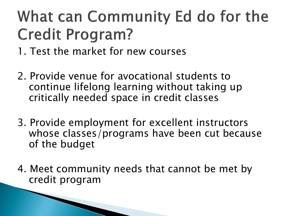### What can Community Ed do for the **Credit Program?**

- 1. Test the market for new courses
- 2. Provide venue for avocational students to continue lifelong learning without taking up critically needed space in credit classes
- 3. Provide employment for excellent instructors whose classes/programs have been cut because of the budget
- 4. Meet community needs that cannot be met by credit program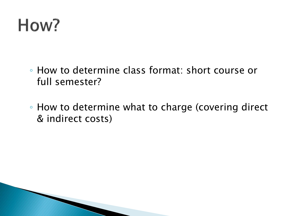

- How to determine class format: short course or full semester?
- How to determine what to charge (covering direct & indirect costs)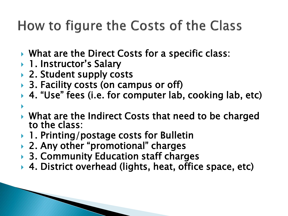### How to figure the Costs of the Class

- ▶ What are the Direct Costs for a specific class:
- ▶ 1. Instructor's Salary
- ▶ 2. Student supply costs
- ▶ 3. Facility costs (on campus or off)
- ▶ 4. "Use" fees (i.e. for computer lab, cooking lab, etc)
- $\blacktriangleright$ ▶ What are the Indirect Costs that need to be charged to the class:
- ▶ 1. Printing/postage costs for Bulletin
- ▶ 2. Any other "promotional" charges
- ▶ 3. Community Education staff charges
- ▶ 4. District overhead (lights, heat, office space, etc)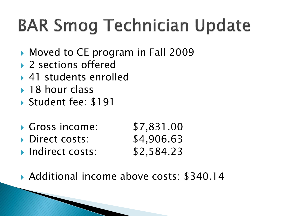## **BAR Smog Technician Update**

- Moved to CE program in Fall 2009
- ▶ 2 sections offered
- 41 students enrolled
- **► 18 hour class**
- Student fee: \$191
- Gross income: \$7,831.00
- ▶ Direct costs: \$4,906.63
- **Indirect costs:** \$2,584.23
- Additional income above costs: \$340.14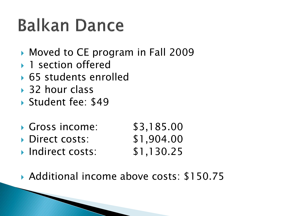## **Balkan Dance**

- Moved to CE program in Fall 2009
- ▶ 1 section offered
- ▶ 65 students enrolled
- **→ 32 hour class**
- Student fee: \$49
- Gross income: \$3,185.00
- ▶ Direct costs: \$1,904.00
- **Indirect costs:** \$1,130.25
- ▶ Additional income above costs: \$150.75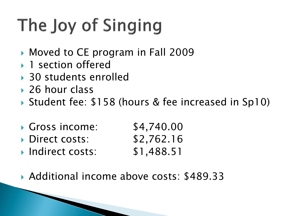## The Joy of Singing

- Moved to CE program in Fall 2009
- ▶ 1 section offered
- ▶ 30 students enrolled
- 26 hour class
- ▶ Student fee: \$158 (hours & fee increased in Sp10)
- Gross income: \$4,740.00
- ▶ Direct costs: \$2,762.16
- **Indirect costs: \$1,488.51**
- ▶ Additional income above costs: \$489.33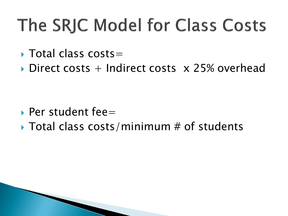## The SRJC Model for Class Costs

- $\triangleright$  Total class costs=
- $\triangleright$  Direct costs + Indirect costs  $\times$  25% overhead

- $\rightarrow$  Per student fee=
- $\triangleright$  Total class costs/minimum # of students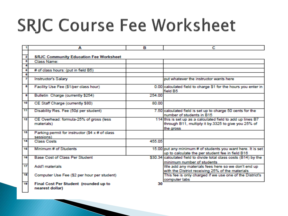## **SRJC Course Fee Worksheet**

|    | A                                                            | в      | с                                                                                                                               |
|----|--------------------------------------------------------------|--------|---------------------------------------------------------------------------------------------------------------------------------|
| 2  | <b>SRJC Community Education Fee Worksheet</b>                |        |                                                                                                                                 |
| з  | <b>Class Name:</b>                                           |        |                                                                                                                                 |
|    |                                                              |        |                                                                                                                                 |
| 6  | # of class hours: (put in field B5)                          |        |                                                                                                                                 |
|    |                                                              |        |                                                                                                                                 |
|    | <b>Instructor's Salary</b>                                   |        | put whatever the instructor wants here                                                                                          |
| 8  | Facility Use Fee (\$1/per class hour)                        |        | 0.00 calculated field to charge \$1 for the hours you enter in<br>field B5                                                      |
| a  | Bulletin Charge (currently \$254)                            | 254.00 |                                                                                                                                 |
| 10 | CE Staff Charge (currently \$80)                             | 80.00  |                                                                                                                                 |
| 11 | Disability Res. Fee (50¢ per student)                        |        | 7.50 calculated field is set up to charge 50 cents for the<br>number of students in B15                                         |
| 12 | CE Overhead: formula-25% of gross (less<br>materials)        |        | 114 this is set up as a calculated field to add up lines B7<br>through B11, multiply it by 3325 to give you 25% of<br>the gross |
| 13 | Parking permit for instructor (\$4 x # of class<br>sessions) |        |                                                                                                                                 |
| 14 | <b>Class Costs</b>                                           | 455.05 |                                                                                                                                 |
| 16 | Minimum # of Students                                        |        | 15.00 put any minimum # of students you want here. It is set<br>up to calculate the per student fee in field B16                |
| 16 | <b>Base Cost of Class Per Student</b>                        |        | \$30.34 calculated field to divide total class costs (B14) by the<br>minimum number of students                                 |
| 17 | <b>Add'I materials</b>                                       |        | We add any materials fees here so we don't end up<br>with the District receiving 25% of the materials                           |
| 18 | Computer Use Fee (\$2 per hour per student)                  |        | This fee is only charged if we use one of the District's<br>computer labs                                                       |
| 19 | Final Cost Per Student (rounded up to<br>nearest dollar)     | 30     |                                                                                                                                 |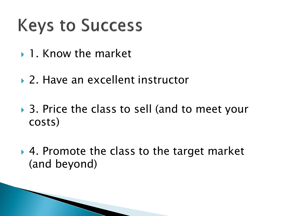## **Keys to Success**

- ▶ 1. Know the market
- ▶ 2. Have an excellent instructor
- ▶ 3. Price the class to sell (and to meet your costs)
- ▶ 4. Promote the class to the target market (and beyond)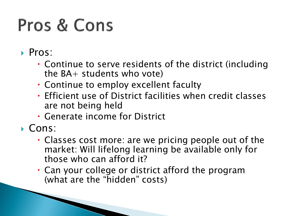## Pros & Cons

- Pros:
	- Continue to serve residents of the district (including the  $BA+$  students who vote)
	- Continue to employ excellent faculty
	- Efficient use of District facilities when credit classes are not being held
	- Generate income for District
- Cons:
	- Classes cost more: are we pricing people out of the market: Will lifelong learning be available only for those who can afford it?
	- Can your college or district afford the program (what are the "hidden" costs)